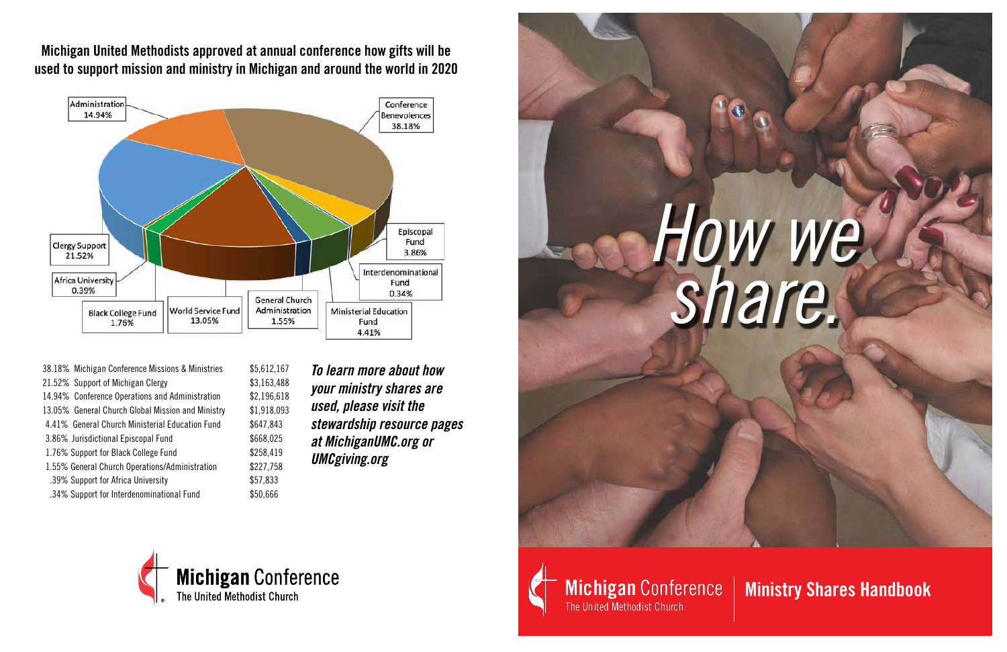## *How we share.*

**Ministry Shares Handbook**

**Michigan United Methodists approved at annual conference how gifts will be used to support mission and ministry in Michigan and around the world in 2020**



- 38.18% Michigan Conference Missions & Ministries \$5,612,167 21.52% Support of Michigan Clergy \$3,163,488 14.94% Conference Operations and Administration \$2,196,618 13.05% General Church Global Mission and Ministry \$1,918,093 4.41% General Church Ministerial Education Fund \$647,843 3.86% Jurisdictional Episcopal Fund \$668,025 1.76% Support for Black College Fund \$258,419 1.55% General Church Operations/Administration \$227,758 .39% Support for Africa University \$57,833 .34% Support for Interdenominational Fund \$50,666
- *To learn more about how your ministry shares are used, please visit the stewardship resource pages at MichiganUMC.org or UMCgiving.org*





**Michigan Conference** 

The United Methodist Church